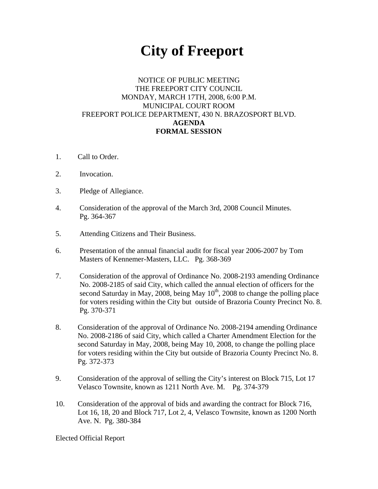## **City of Freeport**

## NOTICE OF PUBLIC MEETING THE FREEPORT CITY COUNCIL MONDAY, MARCH 17TH, 2008, 6:00 P.M. MUNICIPAL COURT ROOM FREEPORT POLICE DEPARTMENT, 430 N. BRAZOSPORT BLVD. **AGENDA FORMAL SESSION**

- 1. Call to Order.
- 2. Invocation.
- 3. Pledge of Allegiance.
- 4. Consideration of the approval of the March 3rd, 2008 Council Minutes. Pg. 364-367
- 5. Attending Citizens and Their Business.
- 6. Presentation of the annual financial audit for fiscal year 2006-2007 by Tom Masters of Kennemer-Masters, LLC. Pg. 368-369
- 7. Consideration of the approval of Ordinance No. 2008-2193 amending Ordinance No. 2008-2185 of said City, which called the annual election of officers for the second Saturday in May, 2008, being May  $10^{th}$ , 2008 to change the polling place for voters residing within the City but outside of Brazoria County Precinct No. 8. Pg. 370-371
- 8. Consideration of the approval of Ordinance No. 2008-2194 amending Ordinance No. 2008-2186 of said City, which called a Charter Amendment Election for the second Saturday in May, 2008, being May 10, 2008, to change the polling place for voters residing within the City but outside of Brazoria County Precinct No. 8. Pg. 372-373
- 9. Consideration of the approval of selling the City's interest on Block 715, Lot 17 Velasco Townsite, known as 1211 North Ave. M. Pg. 374-379
- 10. Consideration of the approval of bids and awarding the contract for Block 716, Lot 16, 18, 20 and Block 717, Lot 2, 4, Velasco Townsite, known as 1200 North Ave. N. Pg. 380-384

Elected Official Report